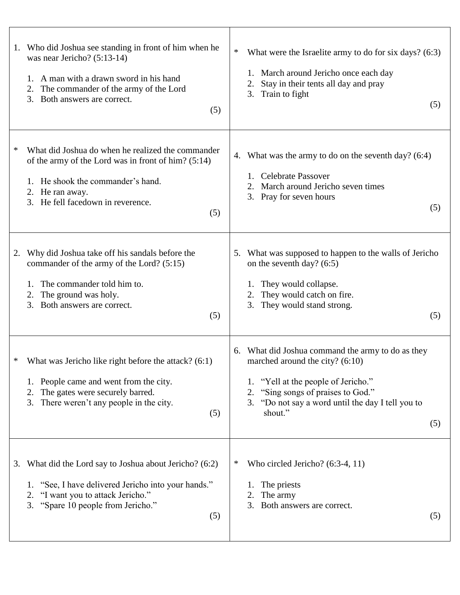|    | 1. Who did Joshua see standing in front of him when he<br>was near Jericho? $(5:13-14)$<br>A man with a drawn sword in his hand<br>The commander of the army of the Lord<br>2.<br>3.<br>Both answers are correct.<br>(5) | $\ast$<br>What were the Israelite army to do for six days? (6:3)<br>March around Jericho once each day<br>Stay in their tents all day and pray<br>2.<br>3. Train to fight<br>(5)                                                           |
|----|--------------------------------------------------------------------------------------------------------------------------------------------------------------------------------------------------------------------------|--------------------------------------------------------------------------------------------------------------------------------------------------------------------------------------------------------------------------------------------|
| ∗  | What did Joshua do when he realized the commander<br>of the army of the Lord was in front of him? (5:14)<br>1. He shook the commander's hand.<br>He ran away.<br>2.<br>3. He fell facedown in reverence.<br>(5)          | 4. What was the army to do on the seventh day? (6:4)<br><b>Celebrate Passover</b><br>March around Jericho seven times<br>2.<br>3. Pray for seven hours<br>(5)                                                                              |
| 2. | Why did Joshua take off his sandals before the<br>commander of the army of the Lord? (5:15)<br>The commander told him to.<br>1.<br>The ground was holy.<br>2.<br>Both answers are correct.<br>3.<br>(5)                  | What was supposed to happen to the walls of Jericho<br>5.<br>on the seventh day? $(6:5)$<br>They would collapse.<br>1.<br>They would catch on fire.<br>2.<br>3. They would stand strong.<br>(5)                                            |
| ∗  | What was Jericho like right before the attack? (6:1)<br>1. People came and went from the city.<br>The gates were securely barred.<br>2.<br>There weren't any people in the city.<br>3.<br>(5)                            | 6. What did Joshua command the army to do as they<br>marched around the city? $(6:10)$<br>"Yell at the people of Jericho."<br>1.<br>"Sing songs of praises to God."<br>3. "Do not say a word until the day I tell you to<br>shout."<br>(5) |
| 3. | What did the Lord say to Joshua about Jericho? (6:2)<br>1. "See, I have delivered Jericho into your hands."<br>"I want you to attack Jericho."<br>2.<br>"Spare 10 people from Jericho."<br>3.<br>(5)                     | Who circled Jericho? $(6:3-4, 11)$<br>∗<br>The priests<br>The army<br>2.<br>Both answers are correct.<br>3.<br>(5)                                                                                                                         |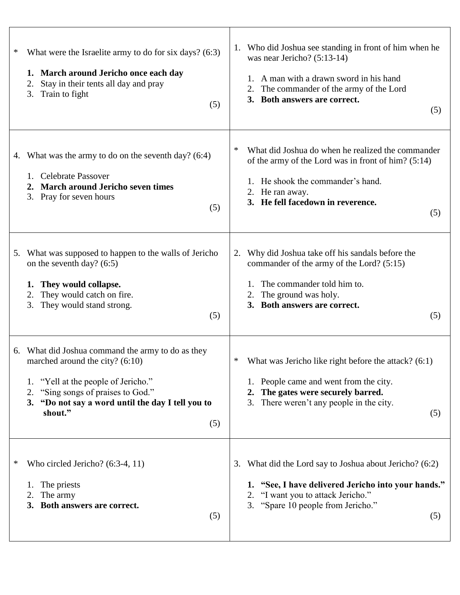| What were the Israelite army to do for six days? (6:3)<br>∗<br>1. March around Jericho once each day<br>Stay in their tents all day and pray<br>2.<br>Train to fight<br>3.                                                                | (5) | 1. Who did Joshua see standing in front of him when he<br>was near Jericho? (5:13-14)<br>A man with a drawn sword in his hand<br>The commander of the army of the Lord<br>2.<br>3. Both answers are correct.<br>(5) |
|-------------------------------------------------------------------------------------------------------------------------------------------------------------------------------------------------------------------------------------------|-----|---------------------------------------------------------------------------------------------------------------------------------------------------------------------------------------------------------------------|
| 4. What was the army to do on the seventh day? (6:4)<br><b>Celebrate Passover</b><br>1.<br><b>March around Jericho seven times</b><br>2.<br>3. Pray for seven hours                                                                       | (5) | ∗<br>What did Joshua do when he realized the commander<br>of the army of the Lord was in front of him? (5:14)<br>1. He shook the commander's hand.<br>2. He ran away.<br>3. He fell facedown in reverence.<br>(5)   |
| What was supposed to happen to the walls of Jericho<br>5.<br>on the seventh day? $(6:5)$<br>They would collapse.<br>1.<br>They would catch on fire.<br>2.<br>They would stand strong.<br>3.                                               | (5) | Why did Joshua take off his sandals before the<br>2.<br>commander of the army of the Lord? (5:15)<br>The commander told him to.<br>The ground was holy.<br>2.<br>3. Both answers are correct.<br>(5)                |
| 6. What did Joshua command the army to do as they<br>marched around the city? $(6:10)$<br>"Yell at the people of Jericho."<br>1.<br>"Sing songs of praises to God."<br>2.<br>3. "Do not say a word until the day I tell you to<br>shout." | (5) | What was Jericho like right before the attack? (6:1)<br>∗<br>1. People came and went from the city.<br>2. The gates were securely barred.<br>3. There weren't any people in the city.<br>(5)                        |
| ∗<br>Who circled Jericho? $(6:3-4, 11)$<br>The priests<br>1.<br>The army<br>Both answers are correct.<br>3.                                                                                                                               | (5) | What did the Lord say to Joshua about Jericho? (6:2)<br>3.<br>1. "See, I have delivered Jericho into your hands."<br>2. "I want you to attack Jericho."<br>3. "Spare 10 people from Jericho."<br>(5)                |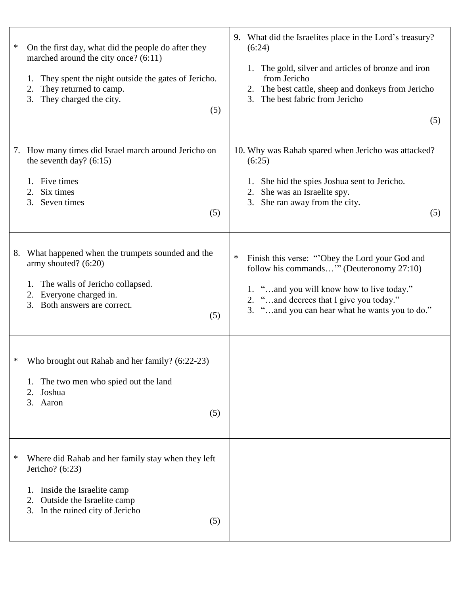| ∗  | On the first day, what did the people do after they<br>marched around the city once? (6:11)<br>They spent the night outside the gates of Jericho.<br>1.<br>They returned to camp.<br>2.<br>They charged the city.<br>3.<br>(5) | 9. What did the Israelites place in the Lord's treasury?<br>(6:24)<br>The gold, silver and articles of bronze and iron<br>1.<br>from Jericho<br>2. The best cattle, sheep and donkeys from Jericho<br>The best fabric from Jericho<br>3.<br>(5) |
|----|--------------------------------------------------------------------------------------------------------------------------------------------------------------------------------------------------------------------------------|-------------------------------------------------------------------------------------------------------------------------------------------------------------------------------------------------------------------------------------------------|
|    | 7. How many times did Israel march around Jericho on<br>the seventh day? $(6:15)$<br>Five times<br>1.<br>Six times<br>2.<br>3.<br>Seven times<br>(5)                                                                           | 10. Why was Rahab spared when Jericho was attacked?<br>(6:25)<br>She hid the spies Joshua sent to Jericho.<br>1.<br>She was an Israelite spy.<br>2.<br>3. She ran away from the city.<br>(5)                                                    |
| 8. | What happened when the trumpets sounded and the<br>army shouted? (6:20)<br>The walls of Jericho collapsed.<br>1.<br>Everyone charged in.<br>2.<br>3. Both answers are correct.<br>(5)                                          | $\ast$<br>Finish this verse: "Obey the Lord your God and<br>follow his commands" (Deuteronomy 27:10)<br>1. "and you will know how to live today."<br>"and decrees that I give you today."<br>"and you can hear what he wants you to do."<br>3.  |
| ∗  | Who brought out Rahab and her family? (6:22-23)<br>The two men who spied out the land<br>Joshua<br>2.<br>3. Aaron<br>(5)                                                                                                       |                                                                                                                                                                                                                                                 |
| ∗  | Where did Rahab and her family stay when they left<br>Jericho? $(6:23)$<br>Inside the Israelite camp<br>Outside the Israelite camp<br>2.<br>3. In the ruined city of Jericho<br>(5)                                            |                                                                                                                                                                                                                                                 |